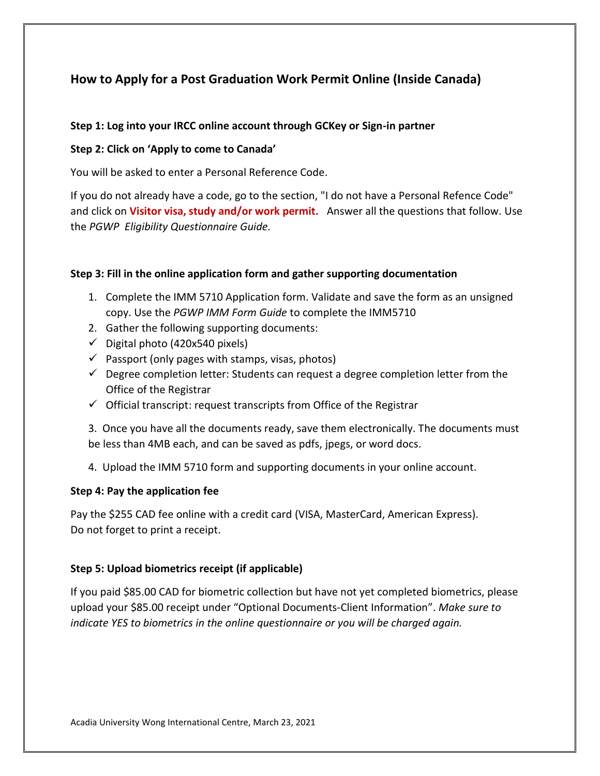# **How to Apply for a Post Graduation Work Permit Online (Inside Canada)**

### **Step 1: Log into your IRCC online account through GCKey or Sign-in partner**

#### **Step 2: Click on 'Apply to come to Canada'**

You will be asked to enter a Personal Reference Code.

If you do not already have a code, go to the section, "I do not have a Personal Refence Code" and click on **Visitor visa, study and/or work permit.** Answer all the questions that follow. Use the *PGWP Eligibility Questionnaire Guide.*

#### **Step 3: Fill in the online application form and gather supporting documentation**

- 1. Complete the IMM 5710 Application form. Validate and save the form as an unsigned copy. Use the *PGWP IMM Form Guide* to complete the IMM5710
- 2. Gather the following supporting documents:
- $\checkmark$  Digital photo (420x540 pixels)
- $\checkmark$  Passport (only pages with stamps, visas, photos)
- $\checkmark$  Degree completion letter: Students can request a degree completion letter from the Office of the Registrar
- $\checkmark$  Official transcript: request transcripts from Office of the Registrar

3. Once you have all the documents ready, save them electronically. The documents must be less than 4MB each, and can be saved as pdfs, jpegs, or word docs.

4. Upload the IMM 5710 form and supporting documents in your online account.

#### **Step 4: Pay the application fee**

Pay the \$255 CAD fee online with a credit card (VISA, MasterCard, American Express). Do not forget to print a receipt.

## **Step 5: Upload biometrics receipt (if applicable)**

If you paid \$85.00 CAD for biometric collection but have not yet completed biometrics, please upload your \$85.00 receipt under "Optional Documents-Client Information". *Make sure to indicate YES to biometrics in the online questionnaire or you will be charged again.*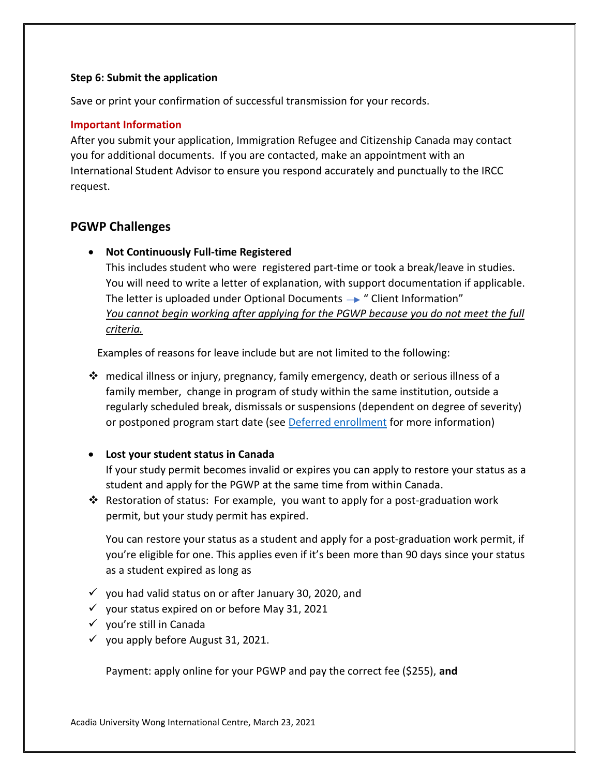#### **Step 6: Submit the application**

Save or print your confirmation of successful transmission for your records.

#### **Important Information**

After you submit your application, Immigration Refugee and Citizenship Canada may contact you for additional documents. If you are contacted, make an appointment with an International Student Advisor to ensure you respond accurately and punctually to the IRCC request.

## **PGWP Challenges**

## • **Not Continuously Full-time Registered**

This includes student who were registered part-time or took a break/leave in studies. You will need to write a letter of explanation, with support documentation if applicable. The letter is uploaded under Optional Documents  $\rightarrow$  " Client Information" *You cannot begin working after applying for the PGWP because you do not meet the full criteria.*

Examples of reasons for leave include but are not limited to the following:

❖ medical illness or injury, pregnancy, family emergency, death or serious illness of a family member, change in program of study within the same institution, outside a regularly scheduled break, dismissals or suspensions (dependent on degree of severity) or postponed program start date (see [Deferred enrollment](https://www.canada.ca/en/immigration-refugees-citizenship/corporate/publications-manuals/operational-bulletins-manuals/temporary-residents/study-permits/assessing-conditions.html#deferred) for more information)

## • **Lost your student status in Canada**

If your study permit becomes invalid or expires you can apply to restore your status as a student and apply for the PGWP at the same time from within Canada.

❖ Restoration of status: For example, you want to apply for a post-graduation work permit, but your study permit has expired.

You can restore your status as a student and apply for a post-graduation work permit, if you're eligible for one. This applies even if it's been more than 90 days since your status as a student expired as long as

- $\checkmark$  you had valid status on or after January 30, 2020, and
- $\checkmark$  your status expired on or before May 31, 2021
- ✓ you're still in Canada
- $\checkmark$  you apply before August 31, 2021.

Payment: apply online for your PGWP and pay the correct fee (\$255), **and**